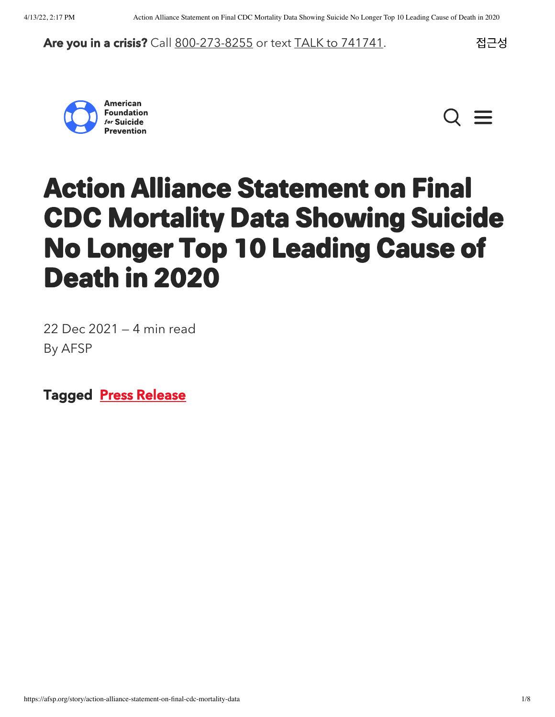### Are you in a crisis? Call [800-273-8255](https://suicidepreventionlifeline.org/) or text [TALK to 741741.](https://crisistextline.org/) 접근성





# <span id="page-0-0"></span>Action Alliance Statement on Final CDC Mortality Data Showing Suicide No Longer Top 10 Leading Cause of Death in 2020

22 Dec 2021 — 4 min read By AFSP

Tagged [Press Release](https://afsp.org/tag/press-release)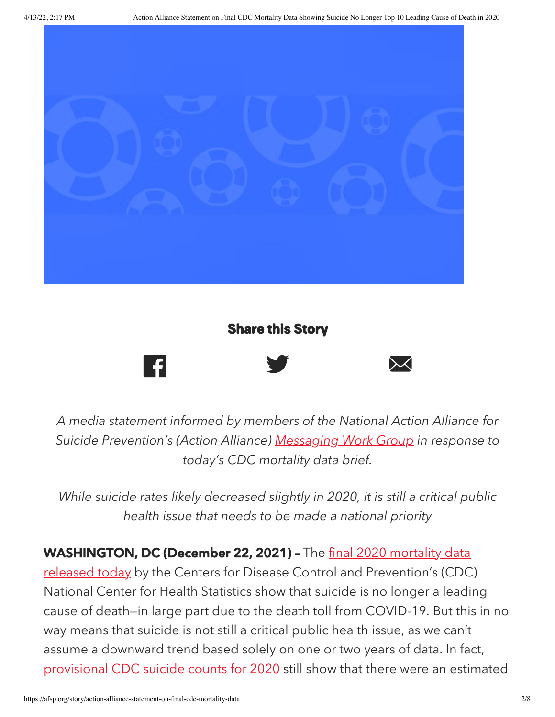

### Share this Story



A media statement informed by members of the National Action Alliance for Suicide Prevention's (Action Alliance) [Messaging](https://theactionalliance.org/task-force/messaging) Work Group in response to today's CDC mortality data brief.

While suicide rates likely decreased slightly in 2020, it is still a critical public health issue that needs to be made a national priority

[WASHINGTON,](https://www.cdc.gov/nchs/products/databriefs/db427.htm) DC (December 22, 2021) - The final 2020 mortality data

released today by the Centers for Disease Control and Prevention's (CDC) National Center for Health Statistics show that suicide is no longer a leading cause of death—in large part due to the death toll from COVID-19. But this in no way means that suicide is not still a critical public health issue, as we can't assume a downward trend based solely on one or two years of data. In fact, [provisional](https://www.cdc.gov/nchs/data/vsrr/VSRR016.pdf) CDC suicide counts for 2020 still show that there were an estimated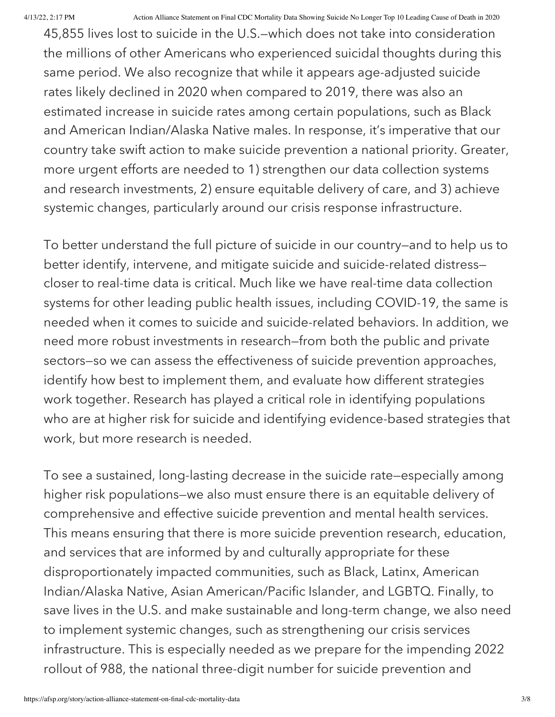45,855 lives lost to suicide in the U.S.—which does not take into consideration the millions of other Americans who experienced suicidal thoughts during this same period. We also recognize that while it appears age-adjusted suicide rates likely declined in 2020 when compared to 2019, there was also an estimated increase in suicide rates among certain populations, such as Black and American Indian/Alaska Native males. In response, it's imperative that our country take swift action to make suicide prevention a national priority. Greater, more urgent efforts are needed to 1) strengthen our data collection systems and research investments, 2) ensure equitable delivery of care, and 3) achieve systemic changes, particularly around our crisis response infrastructure.

To better understand the full picture of suicide in our country—and to help us to better identify, intervene, and mitigate suicide and suicide-related distress closer to real-time data is critical. Much like we have real-time data collection systems for other leading public health issues, including COVID-19, the same is needed when it comes to suicide and suicide-related behaviors. In addition, we need more robust investments in research—from both the public and private sectors—so we can assess the effectiveness of suicide prevention approaches, identify how best to implement them, and evaluate how different strategies work together. Research has played a critical role in identifying populations who are at higher risk for suicide and identifying evidence-based strategies that work, but more research is needed.

To see a sustained, long-lasting decrease in the suicide rate—especially among higher risk populations—we also must ensure there is an equitable delivery of comprehensive and effective suicide prevention and mental health services. This means ensuring that there is more suicide prevention research, education, and services that are informed by and culturally appropriate for these disproportionately impacted communities, such as Black, Latinx, American Indian/Alaska Native, Asian American/Pacific Islander, and LGBTQ. Finally, to save lives in the U.S. and make sustainable and long-term change, we also need to implement systemic changes, such as strengthening our crisis services infrastructure. This is especially needed as we prepare for the impending 2022 rollout of 988, the national three-digit number for suicide prevention and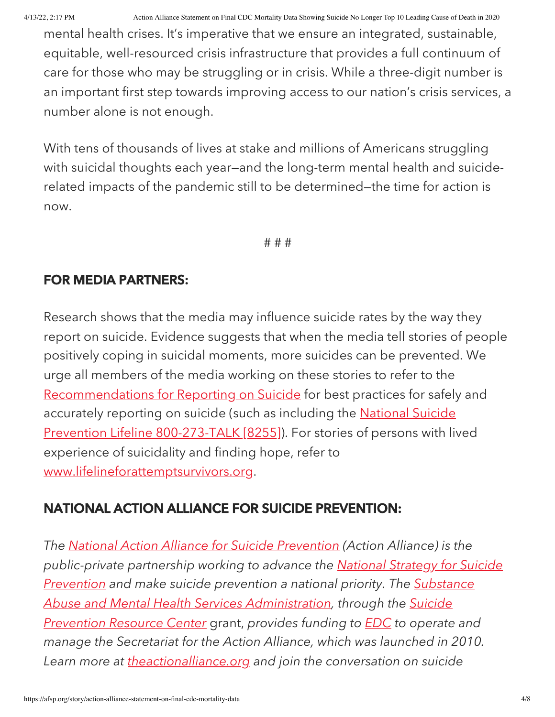mental health crises. It's imperative that we ensure an integrated, sustainable, equitable, well-resourced crisis infrastructure that provides a full continuum of care for those who may be struggling or in crisis. While a three-digit number is an important first step towards improving access to our nation's crisis services, a number alone is not enough.

With tens of thousands of lives at stake and millions of Americans struggling with suicidal thoughts each year—and the long-term mental health and suiciderelated impacts of the pandemic still to be determined—the time for action is now.

# # #

## FOR MEDIA PARTNERS:

Research shows that the media may influence suicide rates by the way they report on suicide. Evidence suggests that when the media tell stories of people positively coping in suicidal moments, more suicides can be prevented. We urge all members of the media working on these stories to refer to the [Recommendations](http://www.reportingonsuicide.org/) for Reporting on Suicide for best practices for safely and accurately reporting on suicide (such as including the **National Suicide** Prevention Lifeline [800-273-TALK](https://suicidepreventionlifeline.org/) [8255]). For stories of persons with lived experience of suicidality and finding hope, refer to [www.lifelineforattemptsurvivors.org.](http://www.lifelineforattemptsurvivors.org/)

## NATIONAL ACTION ALLIANCE FOR SUICIDE PREVENTION:

The National Action Alliance for Suicide [Prevention](http://actionallianceforsuicideprevention.org/) (Action Alliance) is the [public-private](http://actionallianceforsuicideprevention.org/national-strategy-suicide-prevention-0) partnership working to advance the National Strategy for Suicide Prevention and make suicide prevention a national priority. The Substance Abuse and Mental Health Services [Administration,](https://www.samhsa.gov/) through the Suicide Prevention Resource Center grant, provides funding to **[EDC](http://www.edc.org/)** to operate and manage the Secretariat for the Action Alliance, which was launched in 2010. Learn more at [theactionalliance.org](https://theactionalliance.org/) and join the conversation on suicide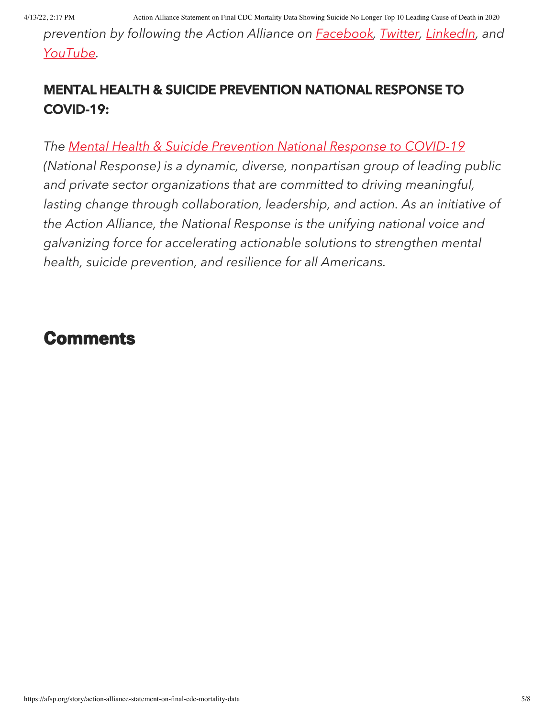prevention by following the Action Alliance on **[Facebook](https://www.facebook.com/ActionAlliance/)**, [Twitter,](https://twitter.com/Action_Alliance) [LinkedIn,](https://www.linkedin.com/company/national-action-alliance-for-suicide-prevention) and [YouTube](https://www.youtube.com/TheActionAlliance).

## MENTAL HEALTH & SUICIDE PREVENTION NATIONAL RESPONSE TO COVID-19:

The Mental Health & Suicide [Prevention](https://nationalmentalhealthresponse.org/) National Response to COVID-19 (National Response) is a dynamic, diverse, nonpartisan group of leading public and private sector organizations that are committed to driving meaningful, lasting change through collaboration, leadership, and action. As an initiative of the Action Alliance, the National Response is the unifying national voice and galvanizing force for accelerating actionable solutions to strengthen mental health, suicide prevention, and resilience for all Americans.

# **Comments**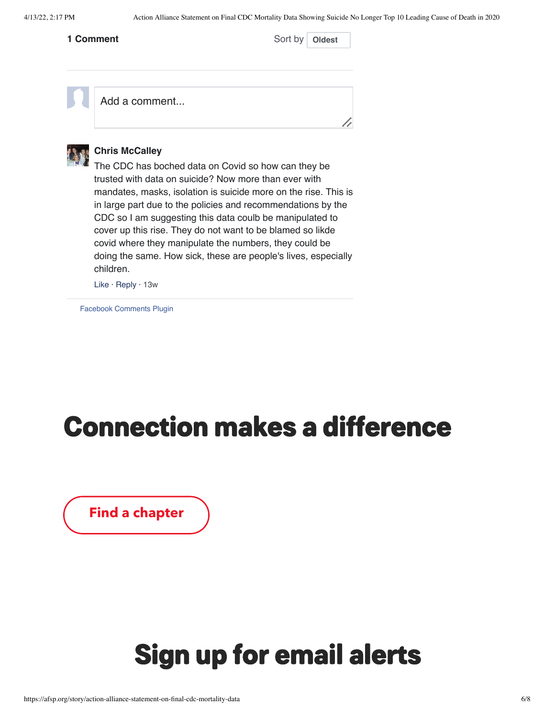#### **1 Comment**

Sort by **Oldest** 

Add a comment...



#### **Chris McCalley**

The CDC has boched data on Covid so how can they be trusted with data on suicide? Now more than ever with mandates, masks, isolation is suicide more on the rise. This is in large part due to the policies and recommendations by the CDC so I am suggesting this data coulb be manipulated to cover up this rise. They do not want to be blamed so likde covid where they manipulate the numbers, they could be doing the same. How sick, these are people's lives, especially children.

Like · Reply · [13w](https://afsp.org/story/action-alliance-statement-on-final-cdc-mortality-data/?fb_comment_id=5088876444457487)

[Facebook Comments Plugin](https://developers.facebook.com/products/social-plugins/comments/?utm_campaign=social_plugins&utm_medium=offsite_pages&utm_source=comments_plugin)

# Connection makes a difference

[Find a chapter](https://afsp.org/find-a-local-chapter)

# Sign up for email alerts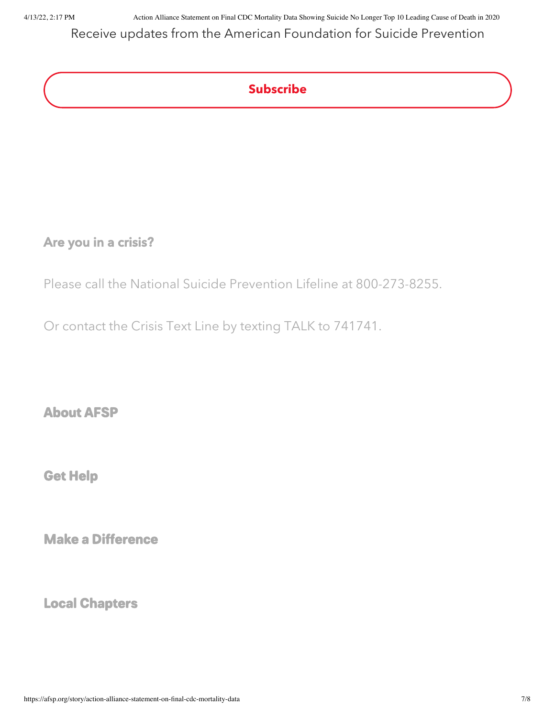4/13/22, 2:17 PM Action Alliance Statement on Final CDC Mortality Data Showing Suicide No Longer Top 10 Leading Cause of Death in 2020

Receive updates from the American Foundation for Suicide Prevention

## Subscribe

### Are you in a crisis?

Please call the National Suicide [Prevention](https://suicidepreventionlifeline.org/) Lifeline at [800-273-8255](tel:+18002738255).

Or contact the [Crisis](https://crisistextline.org/) Text Line by texting TALK to [741741](sms:741741&body=TALK).

About AFSP

Get [Help](https://afsp.org/get-help)

Make a [Difference](https://afsp.org/make-a-difference)

Local Chapters